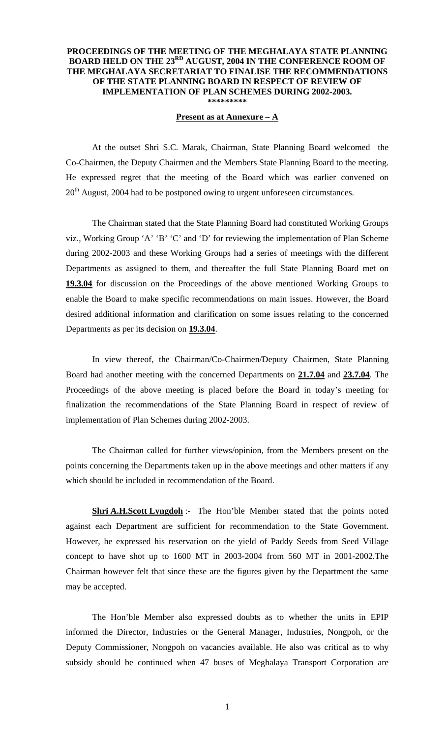## **PROCEEDINGS OF THE MEETING OF THE MEGHALAYA STATE PLANNING BOARD HELD ON THE 23RD AUGUST, 2004 IN THE CONFERENCE ROOM OF THE MEGHALAYA SECRETARIAT TO FINALISE THE RECOMMENDATIONS OF THE STATE PLANNING BOARD IN RESPECT OF REVIEW OF IMPLEMENTATION OF PLAN SCHEMES DURING 2002-2003. \*\*\*\*\*\*\*\*\***

## **Present as at Annexure – A**

 At the outset Shri S.C. Marak, Chairman, State Planning Board welcomed the Co-Chairmen, the Deputy Chairmen and the Members State Planning Board to the meeting. He expressed regret that the meeting of the Board which was earlier convened on  $20<sup>th</sup>$  August, 2004 had to be postponed owing to urgent unforeseen circumstances.

 The Chairman stated that the State Planning Board had constituted Working Groups viz., Working Group 'A' 'B' 'C' and 'D' for reviewing the implementation of Plan Scheme during 2002-2003 and these Working Groups had a series of meetings with the different Departments as assigned to them, and thereafter the full State Planning Board met on **19.3.04** for discussion on the Proceedings of the above mentioned Working Groups to enable the Board to make specific recommendations on main issues. However, the Board desired additional information and clarification on some issues relating to the concerned Departments as per its decision on **19.3.04**.

 In view thereof, the Chairman/Co-Chairmen/Deputy Chairmen, State Planning Board had another meeting with the concerned Departments on **21.7.04** and **23.7.04**. The Proceedings of the above meeting is placed before the Board in today's meeting for finalization the recommendations of the State Planning Board in respect of review of implementation of Plan Schemes during 2002-2003.

 The Chairman called for further views/opinion, from the Members present on the points concerning the Departments taken up in the above meetings and other matters if any which should be included in recommendation of the Board.

**Shri A.H.Scott Lyngdoh** :- The Hon'ble Member stated that the points noted against each Department are sufficient for recommendation to the State Government. However, he expressed his reservation on the yield of Paddy Seeds from Seed Village concept to have shot up to 1600 MT in 2003-2004 from 560 MT in 2001-2002.The Chairman however felt that since these are the figures given by the Department the same may be accepted.

 The Hon'ble Member also expressed doubts as to whether the units in EPIP informed the Director, Industries or the General Manager, Industries, Nongpoh, or the Deputy Commissioner, Nongpoh on vacancies available. He also was critical as to why subsidy should be continued when 47 buses of Meghalaya Transport Corporation are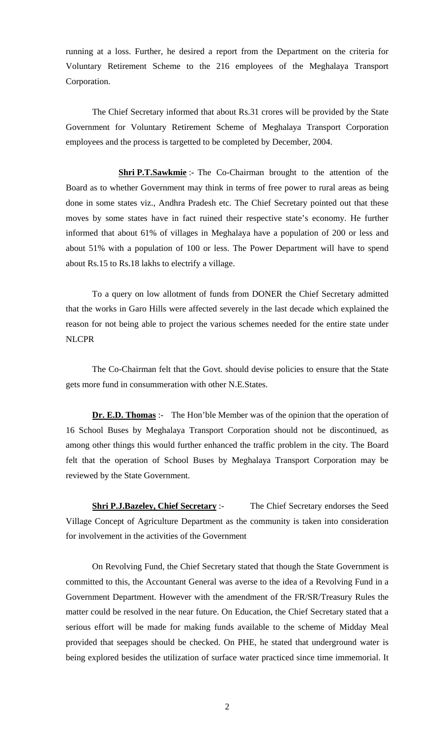running at a loss. Further, he desired a report from the Department on the criteria for Voluntary Retirement Scheme to the 216 employees of the Meghalaya Transport Corporation.

 The Chief Secretary informed that about Rs.31 crores will be provided by the State Government for Voluntary Retirement Scheme of Meghalaya Transport Corporation employees and the process is targetted to be completed by December, 2004.

 **Shri P.T.Sawkmie** :- The Co-Chairman brought to the attention of the Board as to whether Government may think in terms of free power to rural areas as being done in some states viz., Andhra Pradesh etc. The Chief Secretary pointed out that these moves by some states have in fact ruined their respective state's economy. He further informed that about 61% of villages in Meghalaya have a population of 200 or less and about 51% with a population of 100 or less. The Power Department will have to spend about Rs.15 to Rs.18 lakhs to electrify a village.

 To a query on low allotment of funds from DONER the Chief Secretary admitted that the works in Garo Hills were affected severely in the last decade which explained the reason for not being able to project the various schemes needed for the entire state under NLCPR

 The Co-Chairman felt that the Govt. should devise policies to ensure that the State gets more fund in consummeration with other N.E.States.

**Dr. E.D. Thomas** :- The Hon'ble Member was of the opinion that the operation of 16 School Buses by Meghalaya Transport Corporation should not be discontinued, as among other things this would further enhanced the traffic problem in the city. The Board felt that the operation of School Buses by Meghalaya Transport Corporation may be reviewed by the State Government.

**Shri P.J.Bazeley, Chief Secretary** :- The Chief Secretary endorses the Seed Village Concept of Agriculture Department as the community is taken into consideration for involvement in the activities of the Government

 On Revolving Fund, the Chief Secretary stated that though the State Government is committed to this, the Accountant General was averse to the idea of a Revolving Fund in a Government Department. However with the amendment of the FR/SR/Treasury Rules the matter could be resolved in the near future. On Education, the Chief Secretary stated that a serious effort will be made for making funds available to the scheme of Midday Meal provided that seepages should be checked. On PHE, he stated that underground water is being explored besides the utilization of surface water practiced since time immemorial. It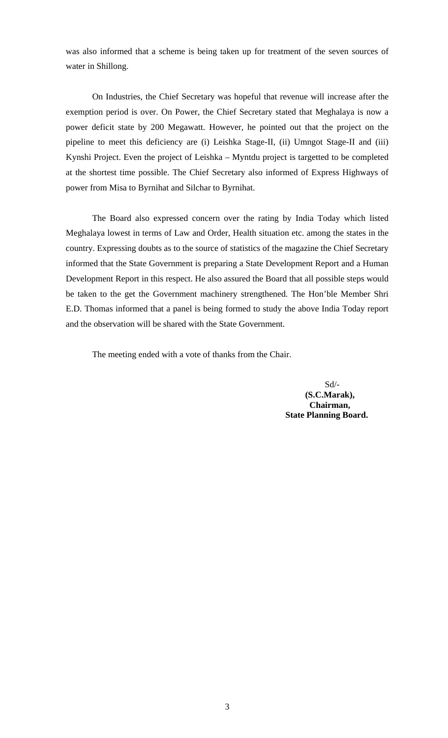was also informed that a scheme is being taken up for treatment of the seven sources of water in Shillong.

 On Industries, the Chief Secretary was hopeful that revenue will increase after the exemption period is over. On Power, the Chief Secretary stated that Meghalaya is now a power deficit state by 200 Megawatt. However, he pointed out that the project on the pipeline to meet this deficiency are (i) Leishka Stage-II, (ii) Umngot Stage-II and (iii) Kynshi Project. Even the project of Leishka – Myntdu project is targetted to be completed at the shortest time possible. The Chief Secretary also informed of Express Highways of power from Misa to Byrnihat and Silchar to Byrnihat.

 The Board also expressed concern over the rating by India Today which listed Meghalaya lowest in terms of Law and Order, Health situation etc. among the states in the country. Expressing doubts as to the source of statistics of the magazine the Chief Secretary informed that the State Government is preparing a State Development Report and a Human Development Report in this respect. He also assured the Board that all possible steps would be taken to the get the Government machinery strengthened. The Hon'ble Member Shri E.D. Thomas informed that a panel is being formed to study the above India Today report and the observation will be shared with the State Government.

The meeting ended with a vote of thanks from the Chair.

 Sd/-  **(S.C.Marak), Chairman, State Planning Board.**